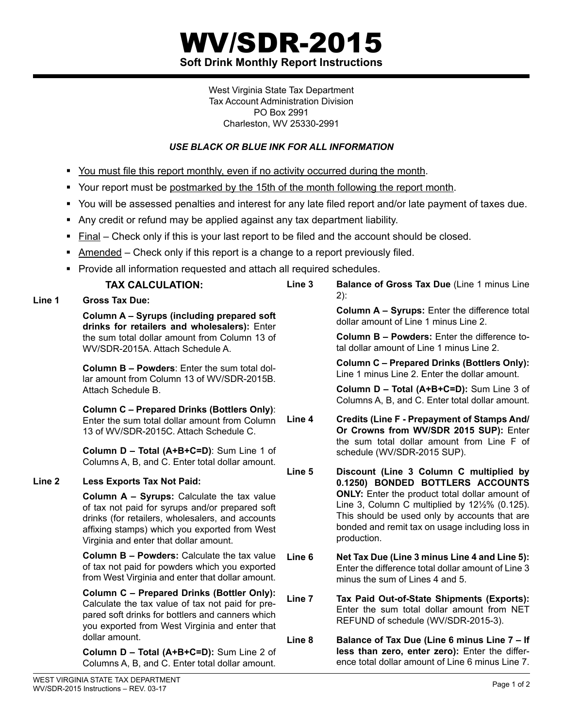## WV/SDR-2015 **Soft Drink Monthly Report Instructions**

West Virginia State Tax Department Tax Account Administration Division PO Box 2991 Charleston, WV 25330-2991

## *Use black or blue ink for all information*

- You must file this report monthly, even if no activity occurred during the month.
- Your report must be postmarked by the 15th of the month following the report month.
- You will be assessed penalties and interest for any late filed report and/or late payment of taxes due.
- Any credit or refund may be applied against any tax department liability.
- Final Check only if this is your last report to be filed and the account should be closed.
- **Amended** Check only if this report is a change to a report previously filed.
- **Provide all information requested and attach all required schedules.**

| <b>TAX CALCULATION:</b>                                                                                                                                                                                                                      | Line <sub>3</sub> | Balance of Gross Tax Due (Line 1 minus Line                                                                                                                                                                                                                                                                          |
|----------------------------------------------------------------------------------------------------------------------------------------------------------------------------------------------------------------------------------------------|-------------------|----------------------------------------------------------------------------------------------------------------------------------------------------------------------------------------------------------------------------------------------------------------------------------------------------------------------|
| <b>Gross Tax Due:</b>                                                                                                                                                                                                                        |                   | $2)$ :                                                                                                                                                                                                                                                                                                               |
| Column A - Syrups (including prepared soft<br>drinks for retailers and wholesalers): Enter                                                                                                                                                   |                   | Column A - Syrups: Enter the difference total<br>dollar amount of Line 1 minus Line 2.                                                                                                                                                                                                                               |
| the sum total dollar amount from Column 13 of<br>WV/SDR-2015A. Attach Schedule A.                                                                                                                                                            |                   | <b>Column B - Powders:</b> Enter the difference to-<br>tal dollar amount of Line 1 minus Line 2.                                                                                                                                                                                                                     |
| <b>Column B - Powders:</b> Enter the sum total dol-<br>lar amount from Column 13 of WV/SDR-2015B.                                                                                                                                            |                   | <b>Column C - Prepared Drinks (Bottlers Only):</b><br>Line 1 minus Line 2. Enter the dollar amount.                                                                                                                                                                                                                  |
| Attach Schedule B.                                                                                                                                                                                                                           |                   | Column D - Total (A+B+C=D): Sum Line 3 of<br>Columns A, B, and C. Enter total dollar amount.                                                                                                                                                                                                                         |
| <b>Column C - Prepared Drinks (Bottlers Only):</b><br>Enter the sum total dollar amount from Column<br>13 of WV/SDR-2015C. Attach Schedule C.                                                                                                | Line 4            | <b>Credits (Line F - Prepayment of Stamps And/</b><br>Or Crowns from WV/SDR 2015 SUP): Enter<br>the sum total dollar amount from Line F of                                                                                                                                                                           |
| Column D - Total (A+B+C=D): Sum Line 1 of<br>Columns A, B, and C. Enter total dollar amount.                                                                                                                                                 |                   | schedule (WV/SDR-2015 SUP).                                                                                                                                                                                                                                                                                          |
| <b>Less Exports Tax Not Paid:</b>                                                                                                                                                                                                            | Line 5            | Discount (Line 3 Column C multiplied by<br>0.1250) BONDED BOTTLERS ACCOUNTS<br><b>ONLY:</b> Enter the product total dollar amount of<br>Line 3, Column C multiplied by $12\frac{1}{2}\%$ (0.125).<br>This should be used only by accounts that are<br>bonded and remit tax on usage including loss in<br>production. |
| Column A - Syrups: Calculate the tax value<br>of tax not paid for syrups and/or prepared soft<br>drinks (for retailers, wholesalers, and accounts<br>affixing stamps) which you exported from West<br>Virginia and enter that dollar amount. |                   |                                                                                                                                                                                                                                                                                                                      |
| <b>Column B - Powders: Calculate the tax value</b><br>of tax not paid for powders which you exported<br>from West Virginia and enter that dollar amount.                                                                                     | Line <sub>6</sub> | Net Tax Due (Line 3 minus Line 4 and Line 5):<br>Enter the difference total dollar amount of Line 3<br>minus the sum of Lines 4 and 5.                                                                                                                                                                               |
| <b>Column C - Prepared Drinks (Bottler Only):</b><br>Calculate the tax value of tax not paid for pre-<br>pared soft drinks for bottlers and canners which<br>you exported from West Virginia and enter that                                  | Line <sub>7</sub> | Tax Paid Out-of-State Shipments (Exports):<br>Enter the sum total dollar amount from NET<br>REFUND of schedule (WV/SDR-2015-3).                                                                                                                                                                                      |
| dollar amount.<br>Column D - Total (A+B+C=D): Sum Line 2 of<br>Columns A, B, and C. Enter total dollar amount                                                                                                                                | Line <sub>8</sub> | Balance of Tax Due (Line 6 minus Line 7 - If<br>less than zero, enter zero): Enter the differ-<br>ence total dollar amount of Line 6 minus Line 7.                                                                                                                                                                   |

Columns A, B, and C. Enter total dollar amount.

Line 1

Line 2